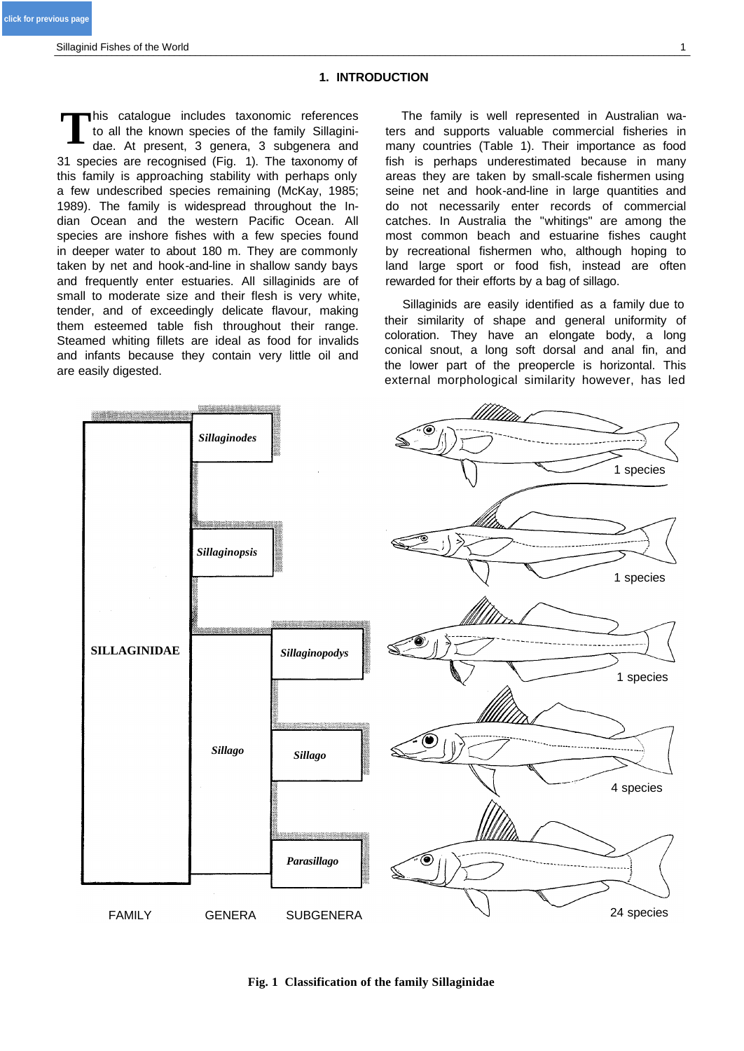# **1. INTRODUCTION**

his catalogue includes taxonomic references to all the known species of the family Sillaginidae. At present, 3 genera, 3 subgenera and 31 species are recognised (Fig. 1). The taxonomy of this family is approaching stability with perhaps only a few undescribed species remaining (McKay, 1985; 1989). The family is widespread throughout the Indian Ocean and the western Pacific Ocean. All species are inshore fishes with a few species found in deeper water to about 180 m. They are commonly taken by net and hook-and-line in shallow sandy bays and frequently enter estuaries. All sillaginids are of small to moderate size and their flesh is very white, tender, and of exceedingly delicate flavour, making them esteemed table fish throughout their range. Steamed whiting fillets are ideal as food for invalids and infants because they contain very little oil and are easily digested. **T**

The family is well represented in Australian waters and supports valuable commercial fisheries in many countries (Table 1). Their importance as food fish is perhaps underestimated because in many areas they are taken by small-scale fishermen using seine net and hook-and-line in large quantities and do not necessarily enter records of commercial catches. In Australia the "whitings" are among the most common beach and estuarine fishes caught by recreational fishermen who, although hoping to land large sport or food fish, instead are often rewarded for their efforts by a bag of sillago.

Sillaginids are easily identified as a family due to their similarity of shape and general uniformity of coloration. They have an elongate body, a long conical snout, a long soft dorsal and anal fin, and the lower part of the preopercle is horizontal. This external morphological similarity however, has led



**Fig. 1 Classification of the family Sillaginidae**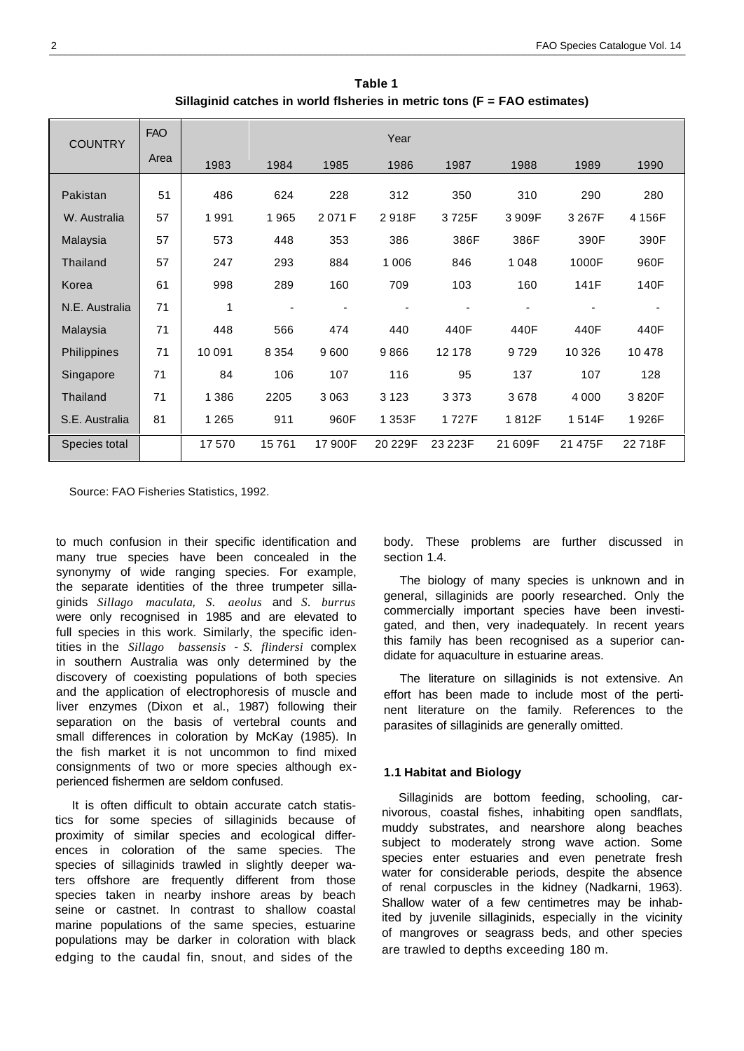**Table 1 Sillaginid catches in world flsheries in metric tons (F = FAO estimates)**

<span id="page-1-0"></span>

| <b>COUNTRY</b>  | <b>FAO</b> |         |                          |         | Year    |         |         |         |        |
|-----------------|------------|---------|--------------------------|---------|---------|---------|---------|---------|--------|
|                 | Area       | 1983    | 1984                     | 1985    | 1986    | 1987    | 1988    | 1989    | 1990   |
| Pakistan        | 51         | 486     | 624                      | 228     | 312     | 350     | 310     | 290     | 280    |
| W. Australia    | 57         | 1991    | 1965                     | 2071F   | 2918F   | 3725F   | 3909F   | 3 267F  | 4 156F |
| Malaysia        | 57         | 573     | 448                      | 353     | 386     | 386F    | 386F    | 390F    | 390F   |
| <b>Thailand</b> | 57         | 247     | 293                      | 884     | 1 0 0 6 | 846     | 1048    | 1000F   | 960F   |
| Korea           | 61         | 998     | 289                      | 160     | 709     | 103     | 160     | 141F    | 140F   |
| N.E. Australia  | 71         | 1       | $\overline{\phantom{a}}$ |         |         |         |         |         |        |
| Malaysia        | 71         | 448     | 566                      | 474     | 440     | 440F    | 440F    | 440F    | 440F   |
| Philippines     | 71         | 10 091  | 8 3 5 4                  | 9600    | 9866    | 12 178  | 9729    | 10 3 26 | 10478  |
| Singapore       | 71         | 84      | 106                      | 107     | 116     | 95      | 137     | 107     | 128    |
| Thailand        | 71         | 1 3 8 6 | 2205                     | 3063    | 3 1 2 3 | 3 3 7 3 | 3678    | 4 0 0 0 | 3820F  |
| S.E. Australia  | 81         | 1 2 6 5 | 911                      | 960F    | 1 353F  | 1727F   | 1812F   | 1514F   | 1926F  |
| Species total   |            | 17570   | 15761                    | 17 900F | 20 229F | 23 223F | 21 609F | 21 475F | 22718F |

Source: FAO Fisheries Statistics, 1992.

to much confusion in their specific identification and many true species have been concealed in the synonymy of wide ranging species. For example, the separate identities of the three trumpeter sillaginids *Sillago maculata, S. aeolus* and *S. burrus* were only recognised in 1985 and are elevated to full species in this work. Similarly, the specific identities in the *Sillago bassensis - S. flindersi* complex in southern Australia was only determined by the discovery of coexisting populations of both species and the application of electrophoresis of muscle and liver enzymes (Dixon et al., 1987) following their separation on the basis of vertebral counts and small differences in coloration by McKay (1985). In the fish market it is not uncommon to find mixed consignments of two or more species although experienced fishermen are seldom confused.

It is often difficult to obtain accurate catch statistics for some species of sillaginids because of proximity of similar species and ecological differences in coloration of the same species. The species of sillaginids trawled in slightly deeper waters offshore are frequently different from those species taken in nearby inshore areas by beach seine or castnet. In contrast to shallow coastal marine populations of the same species, estuarine populations may be darker in coloration with black edging to the caudal fin, snout, and sides of the

body. These problems are further discussed in section 1.4.

The biology of many species is unknown and in general, sillaginids are poorly researched. Only the commercially important species have been investigated, and then, very inadequately. In recent years this family has been recognised as a superior candidate for aquaculture in estuarine areas.

The literature on sillaginids is not extensive. An effort has been made to include most of the pertinent literature on the family. References to the parasites of sillaginids are generally omitted.

## **1.1 Habitat and Biology**

Sillaginids are bottom feeding, schooling, carnivorous, coastal fishes, inhabiting open sandflats, muddy substrates, and nearshore along beaches subject to moderately strong wave action. Some species enter estuaries and even penetrate fresh water for considerable periods, despite the absence of renal corpuscles in the kidney (Nadkarni, 1963). Shallow water of a few centimetres may be inhabited by juvenile sillaginids, especially in the vicinity of mangroves or seagrass beds, and other species are trawled to depths exceeding 180 m.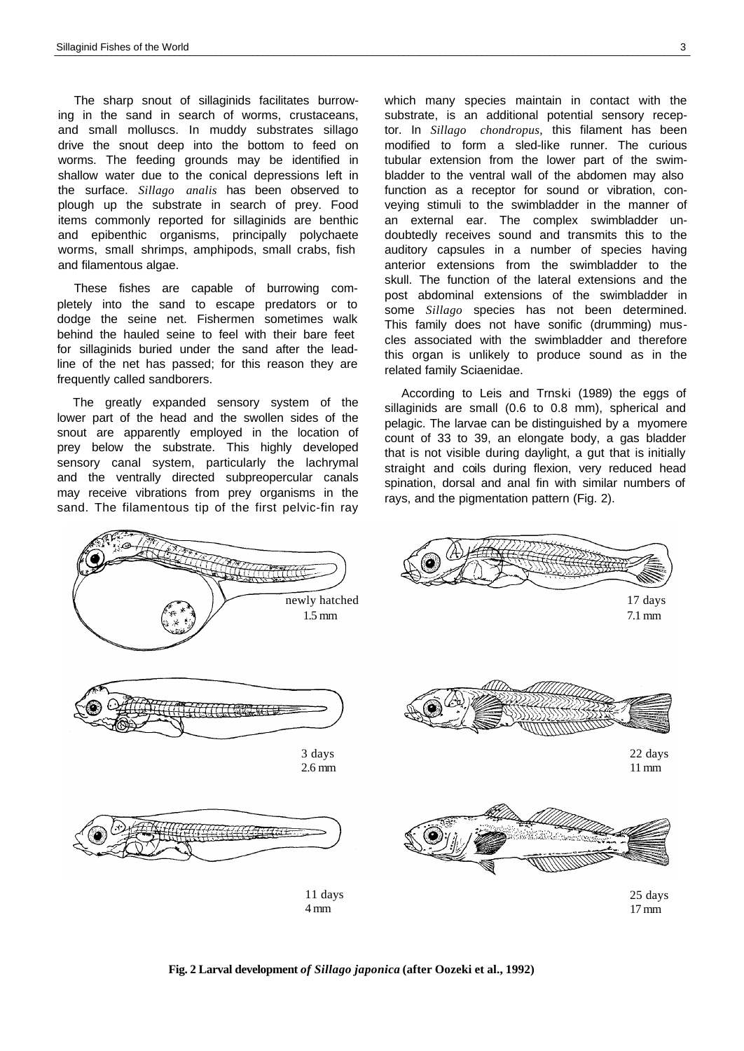The sharp snout of sillaginids facilitates burrowing in the sand in search of worms, crustaceans, and small molluscs. In muddy substrates sillago drive the snout deep into the bottom to feed on worms. The feeding grounds may be identified in shallow water due to the conical depressions left in the surface. *Sillago analis* has been observed to plough up the substrate in search of prey. Food items commonly reported for sillaginids are benthic and epibenthic organisms, principally polychaete worms, small shrimps, amphipods, small crabs, fish and filamentous algae.

These fishes are capable of burrowing completely into the sand to escape predators or to dodge the seine net. Fishermen sometimes walk behind the hauled seine to feel with their bare feet for sillaginids buried under the sand after the leadline of the net has passed; for this reason they are frequently called sandborers.

The greatly expanded sensory system of the lower part of the head and the swollen sides of the snout are apparently employed in the location of prey below the substrate. This highly developed sensory canal system, particularly the lachrymal and the ventrally directed subpreopercular canals may receive vibrations from prey organisms in the sand. The filamentous tip of the first pelvic-fin ray

which many species maintain in contact with the substrate, is an additional potential sensory receptor. In *Sillago chondropus,* this filament has been modified to form a sled-like runner. The curious tubular extension from the lower part of the swimbladder to the ventral wall of the abdomen may also function as a receptor for sound or vibration, conveying stimuli to the swimbladder in the manner of an external ear. The complex swimbladder undoubtedly receives sound and transmits this to the auditory capsules in a number of species having anterior extensions from the swimbladder to the skull. The function of the lateral extensions and the post abdominal extensions of the swimbladder in some *Sillago* species has not been determined. This family does not have sonific (drumming) muscles associated with the swimbladder and therefore this organ is unlikely to produce sound as in the related family Sciaenidae.

According to Leis and Trnski (1989) the eggs of sillaginids are small (0.6 to 0.8 mm), spherical and pelagic. The larvae can be distinguished by a myomere count of 33 to 39, an elongate body, a gas bladder that is not visible during daylight, a gut that is initially straight and coils during flexion, very reduced head spination, dorsal and anal fin with similar numbers of rays, and the pigmentation pattern (Fig. 2).



**Fig. 2 Larval development** *of Sillago japonica* **(after Oozeki et al., 1992)**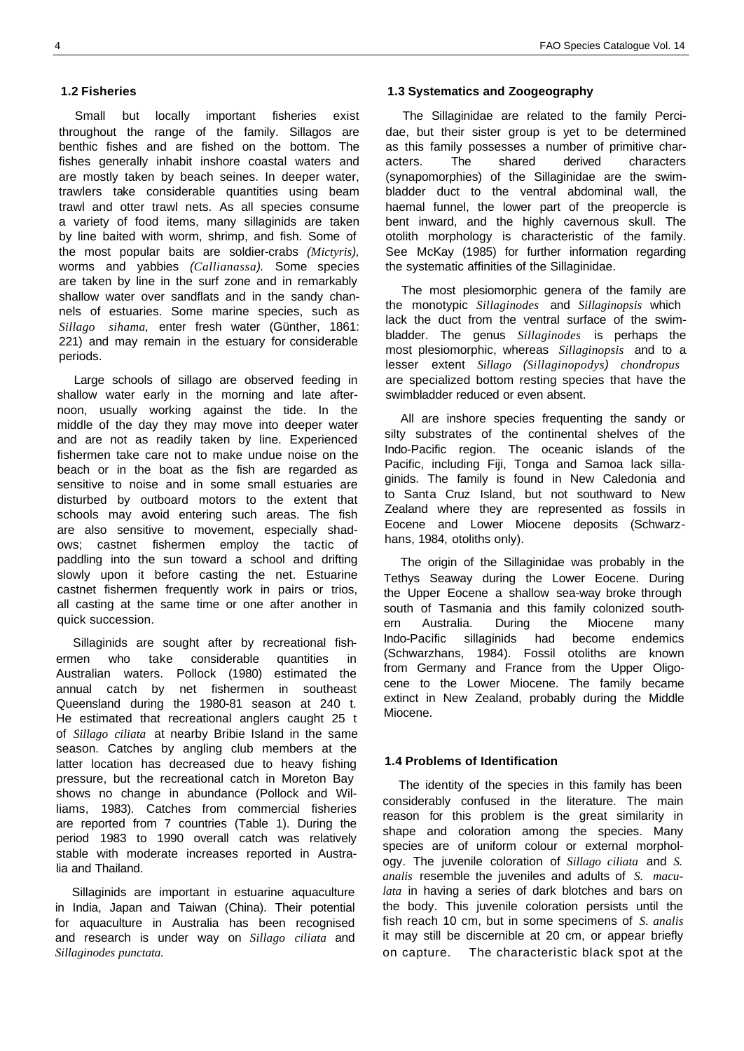Small but locally important fisheries exist throughout the range of the family. Sillagos are benthic fishes and are fished on the bottom. The fishes generally inhabit inshore coastal waters and are mostly taken by beach seines. In deeper water, trawlers take considerable quantities using beam trawl and otter trawl nets. As all species consume a variety of food items, many sillaginids are taken by line baited with worm, shrimp, and fish. Some of the most popular baits are soldier-crabs *(Mictyris),*  worms and yabbies *(Callianassa).* Some species are taken by line in the surf zone and in remarkably shallow water over sandflats and in the sandy channels of estuaries. Some marine species, such as *Sillago sihama,* enter fresh water (Günther, 1861: 221) and may remain in the estuary for considerable periods.

Large schools of sillago are observed feeding in shallow water early in the morning and late afternoon, usually working against the tide. In the middle of the day they may move into deeper water and are not as readily taken by line. Experienced fishermen take care not to make undue noise on the beach or in the boat as the fish are regarded as sensitive to noise and in some small estuaries are disturbed by outboard motors to the extent that schools may avoid entering such areas. The fish are also sensitive to movement, especially shadows; castnet fishermen employ the tactic of paddling into the sun toward a school and drifting slowly upon it before casting the net. Estuarine castnet fishermen frequently work in pairs or trios, all casting at the same time or one after another in quick succession.

Sillaginids are sought after by recreational fishermen who take considerable quantities in Australian waters. Pollock (1980) estimated the annual catch by net fishermen in southeast Queensland during the 1980-81 season at 240 t. He estimated that recreational anglers caught 25 t of *Sillago ciliata* at nearby Bribie Island in the same season. Catches by angling club members at the latter location has decreased due to heavy fishing pressure, but the recreational catch in Moreton Bay shows no change in abundance (Pollock and Williams, 1983). Catches from commercial fisheries are reported from 7 countries (Table 1). During the period 1983 to 1990 overall catch was relatively stable with moderate increases reported in Australia and Thailand.

Sillaginids are important in estuarine aquaculture in India, Japan and Taiwan (China). Their potential for aquaculture in Australia has been recognised and research is under way on *Sillago ciliata* and *Sillaginodes punctata.*

# **1.3 Systematics and Zoogeography**

The Sillaginidae are related to the family Percidae, but their sister group is yet to be determined as this family possesses a number of primitive characters. The shared derived characters (synapomorphies) of the Sillaginidae are the swimbladder duct to the ventral abdominal wall, the haemal funnel, the lower part of the preopercle is bent inward, and the highly cavernous skull. The otolith morphology is characteristic of the family. See McKay (1985) for further information regarding the systematic affinities of the Sillaginidae.

The most plesiomorphic genera of the family are the monotypic *Sillaginodes* and *Sillaginopsis* which lack the duct from the ventral surface of the swimbladder. The genus *Sillaginodes* is perhaps the most plesiomorphic, whereas *Sillaginopsis* and to a lesser extent *Sillago (Sillaginopodys) chondropus*  are specialized bottom resting species that have the swimbladder reduced or even absent.

All are inshore species frequenting the sandy or silty substrates of the continental shelves of the Indo-Pacific region. The oceanic islands of the Pacific, including Fiji, Tonga and Samoa lack sillaginids. The family is found in New Caledonia and to Santa Cruz Island, but not southward to New Zealand where they are represented as fossils in Eocene and Lower Miocene deposits (Schwarzhans, 1984, otoliths only).

The origin of the Sillaginidae was probably in the Tethys Seaway during the Lower Eocene. During the Upper Eocene a shallow sea-way broke through south of Tasmania and this family colonized southern Australia. During the Miocene many Indo-Pacific sillaginids had become endemics (Schwarzhans, 1984). Fossil otoliths are known from Germany and France from the Upper Oligocene to the Lower Miocene. The family became extinct in New Zealand, probably during the Middle Miocene.

#### **1.4 Problems of Identification**

The identity of the species in this family has been considerably confused in the literature. The main reason for this problem is the great similarity in shape and coloration among the species. Many species are of uniform colour or external morphology. The juvenile coloration of *Sillago ciliata* and *S. analis* resemble the juveniles and adults of *S. maculata* in having a series of dark blotches and bars on the body. This juvenile coloration persists until the fish reach 10 cm, but in some specimens of *S. analis* it may still be discernible at 20 cm, or appear briefly on capture. The characteristic black spot at the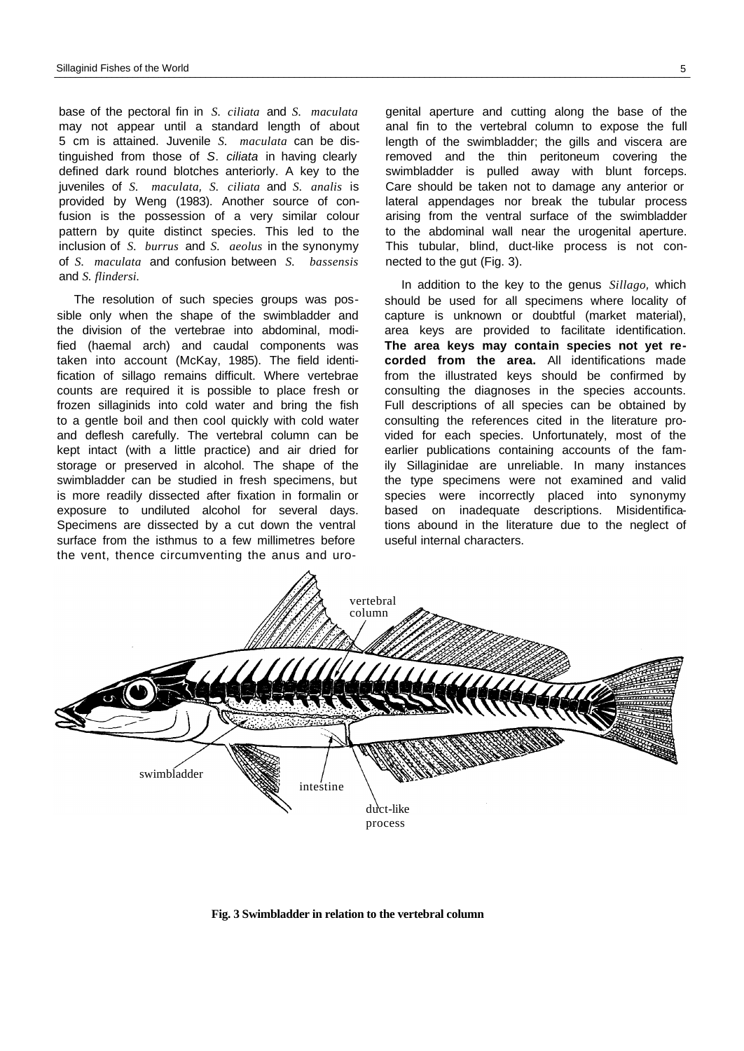base of the pectoral fin in *S. ciliata* and *S. maculata* may not appear until a standard length of about 5 cm is attained. Juvenile *S. maculata* can be distinguished from those of *S*. *ciliata* in having clearly defined dark round blotches anteriorly. A key to the juveniles of *S. maculata, S. ciliata* and *S. analis* is provided by Weng (1983). Another source of confusion is the possession of a very similar colour pattern by quite distinct species. This led to the inclusion of *S. burrus* and *S. aeolus* in the synonymy of *S. maculata* and confusion between *S. bassensis* and *S. flindersi.*

The resolution of such species groups was possible only when the shape of the swimbladder and the division of the vertebrae into abdominal, modified (haemal arch) and caudal components was taken into account (McKay, 1985). The field identification of sillago remains difficult. Where vertebrae counts are required it is possible to place fresh or frozen sillaginids into cold water and bring the fish to a gentle boil and then cool quickly with cold water and deflesh carefully. The vertebral column can be kept intact (with a little practice) and air dried for storage or preserved in alcohol. The shape of the swimbladder can be studied in fresh specimens, but is more readily dissected after fixation in formalin or exposure to undiluted alcohol for several days. Specimens are dissected by a cut down the ventral surface from the isthmus to a few millimetres before the vent, thence circumventing the anus and urogenital aperture and cutting along the base of the anal fin to the vertebral column to expose the full length of the swimbladder; the gills and viscera are removed and the thin peritoneum covering the swimbladder is pulled away with blunt forceps. Care should be taken not to damage any anterior or lateral appendages nor break the tubular process arising from the ventral surface of the swimbladder to the abdominal wall near the urogenital aperture. This tubular, blind, duct-like process is not connected to the gut (Fig. 3).

In addition to the key to the genus *Sillago,* which should be used for all specimens where locality of capture is unknown or doubtful (market material), area keys are provided to facilitate identification. **The area keys may contain species not yet recorded from the area.** All identifications made from the illustrated keys should be confirmed by consulting the diagnoses in the species accounts. Full descriptions of all species can be obtained by consulting the references cited in the literature provided for each species. Unfortunately, most of the earlier publications containing accounts of the family Sillaginidae are unreliable. In many instances the type specimens were not examined and valid species were incorrectly placed into synonymy based on inadequate descriptions. Misidentifications abound in the literature due to the neglect of useful internal characters.



**Fig. 3 Swimbladder in relation to the vertebral column**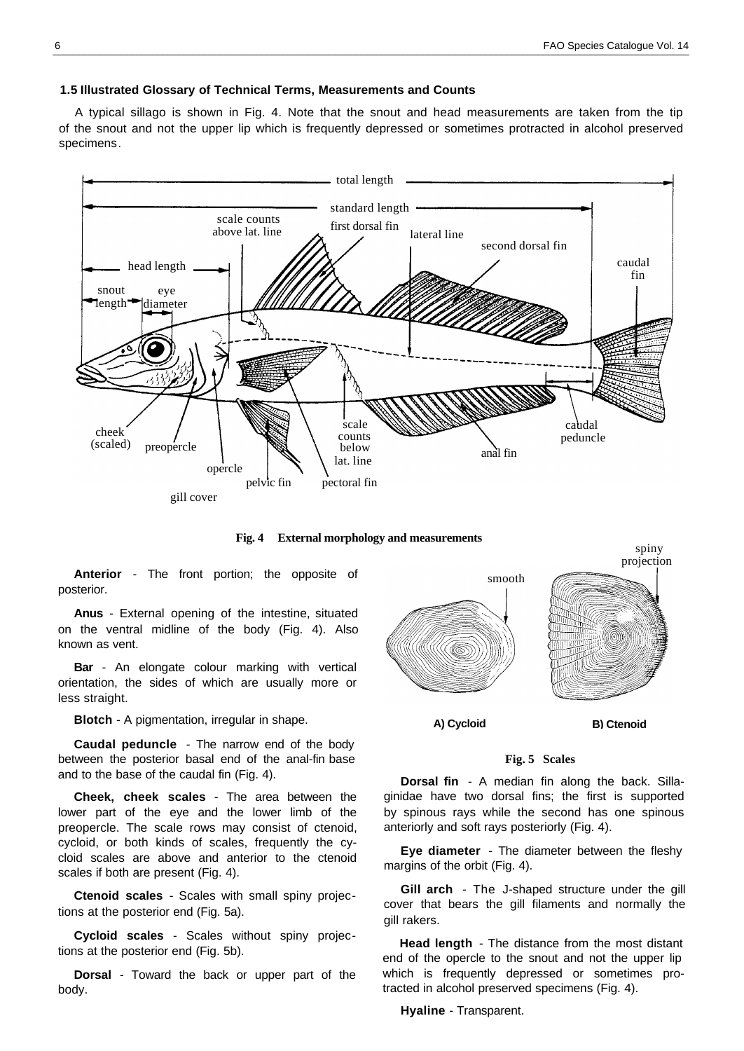## **1.5 Illustrated Glossary of Technical Terms, Measurements and Counts**

A typical sillago is shown in Fig. 4. Note that the snout and head measurements are taken from the tip of the snout and not the upper lip which is frequently depressed or sometimes protracted in alcohol preserved specimens.



**Fig. 4 External morphology and measurements**

**Anterior** - The front portion; the opposite of posterior.

**Anus** - External opening of the intestine, situated on the ventral midline of the body (Fig. 4). Also known as vent.

**Bar** - An elongate colour marking with vertical orientation, the sides of which are usually more or less straight.

**Blotch** - A pigmentation, irregular in shape.

**Caudal peduncle** - The narrow end of the body between the posterior basal end of the anal-fin base and to the base of the caudal fin (Fig. 4).

**Cheek, cheek scales** - The area between the lower part of the eye and the lower limb of the preopercle. The scale rows may consist of ctenoid, cycloid, or both kinds of scales, frequently the cycloid scales are above and anterior to the ctenoid scales if both are present (Fig. 4).

**Ctenoid scales** - Scales with small spiny projections at the posterior end (Fig. 5a).

**Cycloid scales** - Scales without spiny projections at the posterior end (Fig. 5b).

**Dorsal** - Toward the back or upper part of the body.



**A) Cycloid**

spiny

#### **Fig. 5 Scales**

**Dorsal fin** - A median fin along the back. Sillaginidae have two dorsal fins; the first is supported by spinous rays while the second has one spinous anteriorly and soft rays posteriorly (Fig. 4).

**Eye diameter** - The diameter between the fleshy margins of the orbit (Fig. 4).

**Gill arch** - The J-shaped structure under the gill cover that bears the gill filaments and normally the gill rakers.

**Head length** - The distance from the most distant end of the opercle to the snout and not the upper lip which is frequently depressed or sometimes protracted in alcohol preserved specimens (Fig. 4).

**Hyaline** - Transparent.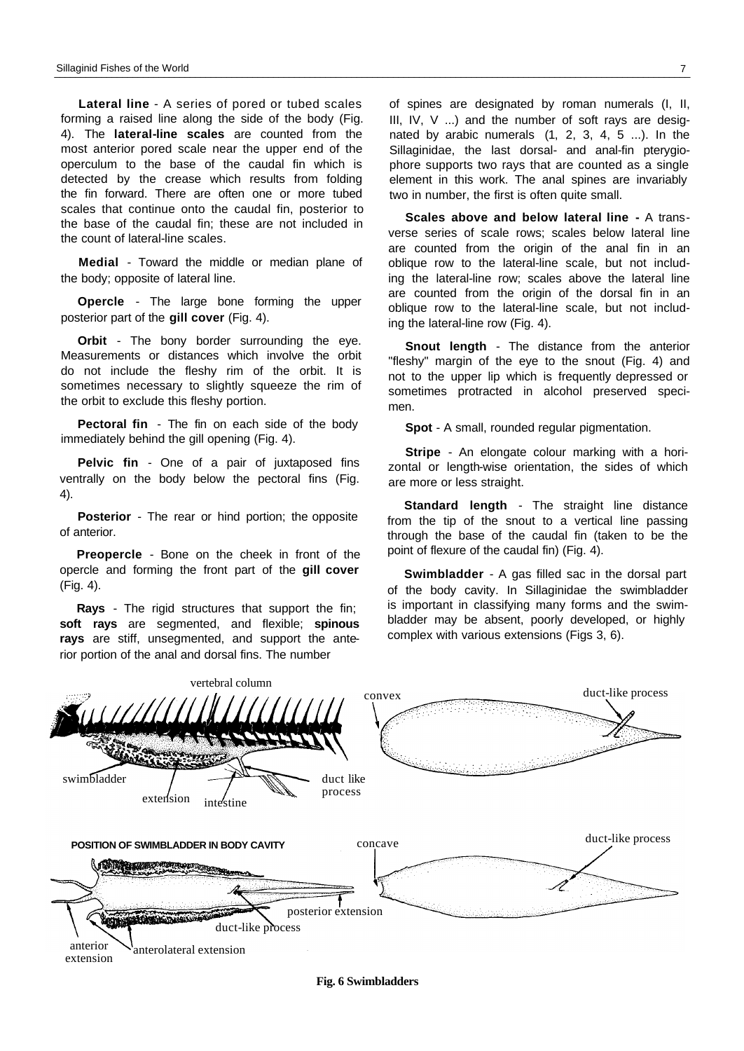**Lateral line** - A series of pored or tubed scales forming a raised line along the side of the body (Fig. 4). The **lateral-line scales** are counted from the most anterior pored scale near the upper end of the operculum to the base of the caudal fin which is detected by the crease which results from folding the fin forward. There are often one or more tubed scales that continue onto the caudal fin, posterior to the base of the caudal fin; these are not included in the count of lateral-line scales.

**Medial** - Toward the middle or median plane of the body; opposite of lateral line.

**Opercle** - The large bone forming the upper posterior part of the **gill cover** (Fig. 4).

**Orbit** - The bony border surrounding the eye. Measurements or distances which involve the orbit do not include the fleshy rim of the orbit. It is sometimes necessary to slightly squeeze the rim of the orbit to exclude this fleshy portion.

**Pectoral fin** - The fin on each side of the body immediately behind the gill opening (Fig. 4).

**Pelvic fin** - One of a pair of juxtaposed fins ventrally on the body below the pectoral fins (Fig. 4).

**Posterior** - The rear or hind portion; the opposite of anterior.

**Preopercle** - Bone on the cheek in front of the opercle and forming the front part of the **gill cover**  (Fig. 4).

**Rays** - The rigid structures that support the fin; **soft rays** are segmented, and flexible; **spinous rays** are stiff, unsegmented, and support the anterior portion of the anal and dorsal fins. The number

of spines are designated by roman numerals (I, II, III,  $IV, V$  ...) and the number of soft rays are designated by arabic numerals (1, 2, 3, 4, 5 ...). In the Sillaginidae, the last dorsal- and anal-fin pterygiophore supports two rays that are counted as a single element in this work. The anal spines are invariably two in number, the first is often quite small.

**Scales above and below lateral line -** A transverse series of scale rows; scales below lateral line are counted from the origin of the anal fin in an oblique row to the lateral-line scale, but not including the lateral-line row; scales above the lateral line are counted from the origin of the dorsal fin in an oblique row to the lateral-line scale, but not including the lateral-line row (Fig. 4).

**Snout length** - The distance from the anterior "fleshy" margin of the eye to the snout (Fig. 4) and not to the upper lip which is frequently depressed or sometimes protracted in alcohol preserved specimen.

**Spot** - A small, rounded regular pigmentation.

**Stripe** - An elongate colour marking with a horizontal or length-wise orientation, the sides of which are more or less straight.

**Standard length** - The straight line distance from the tip of the snout to a vertical line passing through the base of the caudal fin (taken to be the point of flexure of the caudal fin) (Fig. 4).

**Swimbladder** - A gas filled sac in the dorsal part of the body cavity. In Sillaginidae the swimbladder is important in classifying many forms and the swimbladder may be absent, poorly developed, or highly complex with various extensions (Figs 3, 6).



**Fig. 6 Swimbladders**